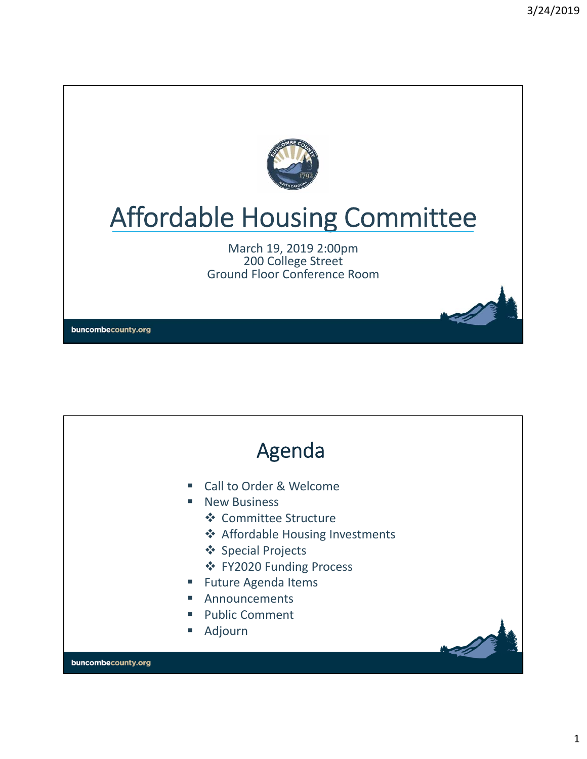

# Affordable Housing Committee

March 19, 2019 2:00pm 200 College Street Ground Floor Conference Room

buncombecounty.org

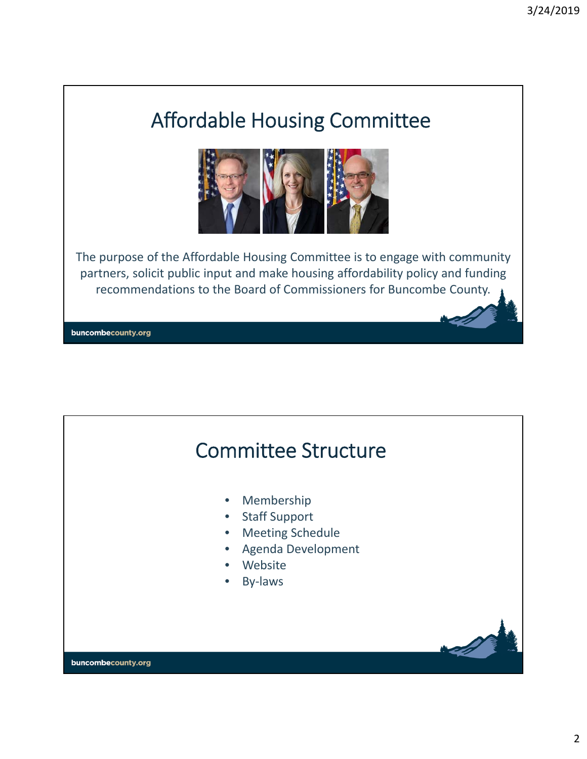### Affordable Housing Committee



The purpose of the Affordable Housing Committee is to engage with community partners, solicit public input and make housing affordability policy and funding recommendations to the Board of Commissioners for Buncombe County.

buncombecounty.org

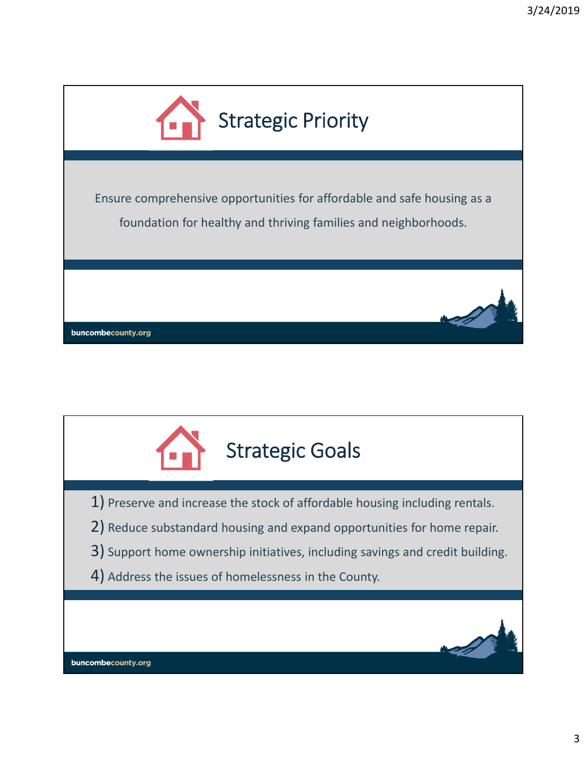

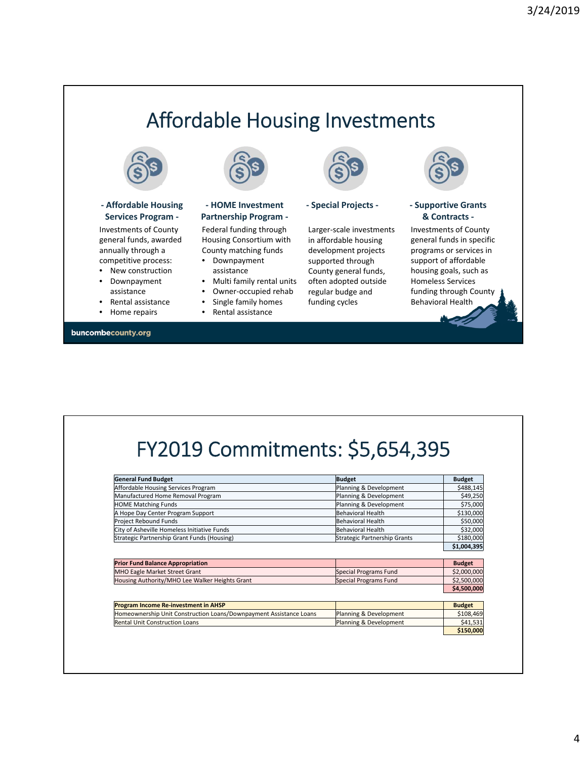# Affordable Housing Investments



#### **‐ Affordable Housing Services Program ‐**

Investments of County general funds, awarded annually through a competitive process:

- New construction
- Downpayment assistance
- Rental assistance
- Home repairs

#### buncombecounty.org



#### **‐ HOME Investment Partnership Program ‐**

Federal funding through Housing Consortium with County matching funds

- Downpayment assistance
- Multi family rental units
- Owner-occupied rehab
- Single family homes
	- Rental assistance



Larger‐scale investments in affordable housing development projects supported through County general funds, often adopted outside regular budge and funding cycles



#### **‐ Special Projects ‐ ‐ Supportive Grants & Contracts ‐**

Investments of County general funds in specific programs or services in support of affordable housing goals, such as Homeless Services funding through County Behavioral Health

# FY2019 Commitments: \$5,654,395

| <b>General Fund Budget</b>                                         | <b>Budget</b>                | <b>Budget</b> |
|--------------------------------------------------------------------|------------------------------|---------------|
| Affordable Housing Services Program                                | Planning & Development       | \$488,145     |
| Manufactured Home Removal Program                                  | Planning & Development       | \$49,250      |
| <b>HOME Matching Funds</b>                                         | Planning & Development       | \$75,000      |
| A Hope Day Center Program Support                                  | Behavioral Health            | \$130,000     |
| Project Rebound Funds                                              | Behavioral Health            | \$50,000      |
| City of Asheville Homeless Initiative Funds                        | Behavioral Health            | \$32,000      |
| Strategic Partnership Grant Funds (Housing)                        | Strategic Partnership Grants | \$180,000     |
|                                                                    |                              | \$1,004,395   |
| <b>Prior Fund Balance Appropriation</b>                            |                              | <b>Budget</b> |
| MHO Eagle Market Street Grant                                      | Special Programs Fund        | \$2,000,000   |
| Housing Authority/MHO Lee Walker Heights Grant                     | Special Programs Fund        | \$2,500,000   |
|                                                                    |                              | \$4,500,000   |
| <b>Program Income Re-investment in AHSP</b>                        |                              | <b>Budget</b> |
| Homeownership Unit Construction Loans/Downpayment Assistance Loans | Planning & Development       | \$108,469     |
| <b>Rental Unit Construction Loans</b>                              | Planning & Development       | \$41,531      |
|                                                                    |                              | \$150,000     |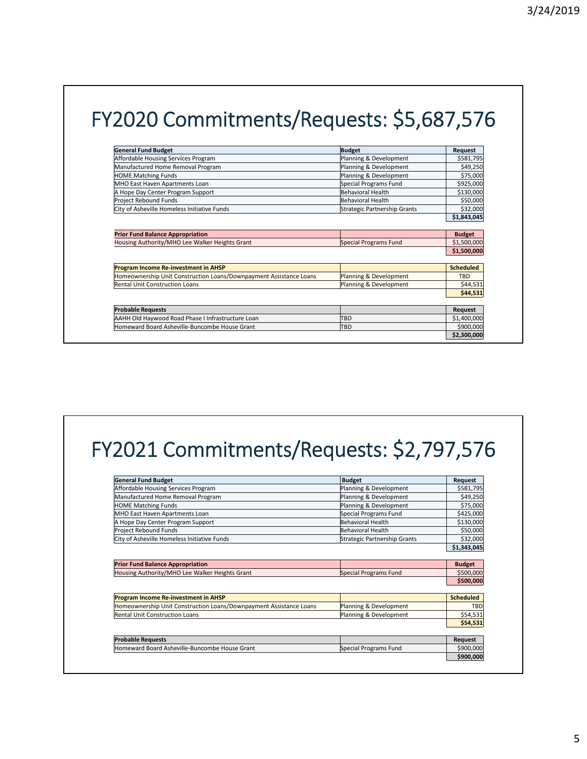## FY2020 Commitments/Requests: \$5,687,576

| <b>General Fund Budget</b>                                         | <b>Budget</b>                | Request          |
|--------------------------------------------------------------------|------------------------------|------------------|
| Affordable Housing Services Program                                | Planning & Development       | \$581,795        |
| Manufactured Home Removal Program                                  | Planning & Development       | \$49,250         |
| <b>HOME Matching Funds</b>                                         | Planning & Development       | \$75,000         |
| MHO East Haven Apartments Loan                                     | Special Programs Fund        | \$925,000        |
| A Hope Day Center Program Support                                  | Behavioral Health            | \$130,000        |
| Project Rebound Funds                                              | Behavioral Health            | \$50,000         |
| City of Asheville Homeless Initiative Funds                        | Strategic Partnership Grants | \$32,000         |
|                                                                    |                              | \$1,843,045      |
|                                                                    |                              |                  |
| <b>Prior Fund Balance Appropriation</b>                            |                              | <b>Budget</b>    |
| Housing Authority/MHO Lee Walker Heights Grant                     | Special Programs Fund        | \$1,500,000      |
|                                                                    |                              | \$1,500,000      |
|                                                                    |                              |                  |
| Program Income Re-investment in AHSP                               |                              | <b>Scheduled</b> |
| Homeownership Unit Construction Loans/Downpayment Assistance Loans | Planning & Development       | TBD              |
| <b>Rental Unit Construction Loans</b>                              | Planning & Development       | \$44,531         |
|                                                                    |                              | \$44,531         |
|                                                                    |                              |                  |
| <b>Probable Requests</b>                                           |                              | Request          |
| AAHH Old Haywood Road Phase I Infrastructure Loan                  | <b>TBD</b>                   | \$1,400,000      |
| Homeward Board Asheville-Buncombe House Grant                      | <b>TBD</b>                   | \$900,000        |
|                                                                    |                              |                  |

# FY2021 Commitments/Requests: \$2,797,576

| <b>General Fund Budget</b>                                         | <b>Budget</b>                | Request          |
|--------------------------------------------------------------------|------------------------------|------------------|
| Affordable Housing Services Program                                | Planning & Development       | \$581,795        |
| Manufactured Home Removal Program                                  | Planning & Development       | \$49,250         |
| <b>HOME Matching Funds</b>                                         | Planning & Development       | \$75,000         |
| MHO East Haven Apartments Loan                                     | Special Programs Fund        | \$425,000        |
| A Hope Day Center Program Support                                  | Behavioral Health            | \$130,000        |
| Project Rebound Funds                                              | Behavioral Health            | \$50,000         |
| City of Asheville Homeless Initiative Funds                        | Strategic Partnership Grants | \$32,000         |
|                                                                    |                              | \$1,343,045      |
| <b>Prior Fund Balance Appropriation</b>                            |                              | <b>Budget</b>    |
| Housing Authority/MHO Lee Walker Heights Grant                     | Special Programs Fund        | \$500,000        |
|                                                                    |                              | \$500,000        |
| <b>Program Income Re-investment in AHSP</b>                        |                              | <b>Scheduled</b> |
| Homeownership Unit Construction Loans/Downpayment Assistance Loans | Planning & Development       | TBD              |
| <b>Rental Unit Construction Loans</b>                              | Planning & Development       | \$54,531         |
|                                                                    |                              | \$54,531         |
| <b>Probable Requests</b>                                           |                              | Request          |
| Homeward Board Asheville-Buncombe House Grant                      | Special Programs Fund        | \$900,000        |
|                                                                    |                              | \$900,000        |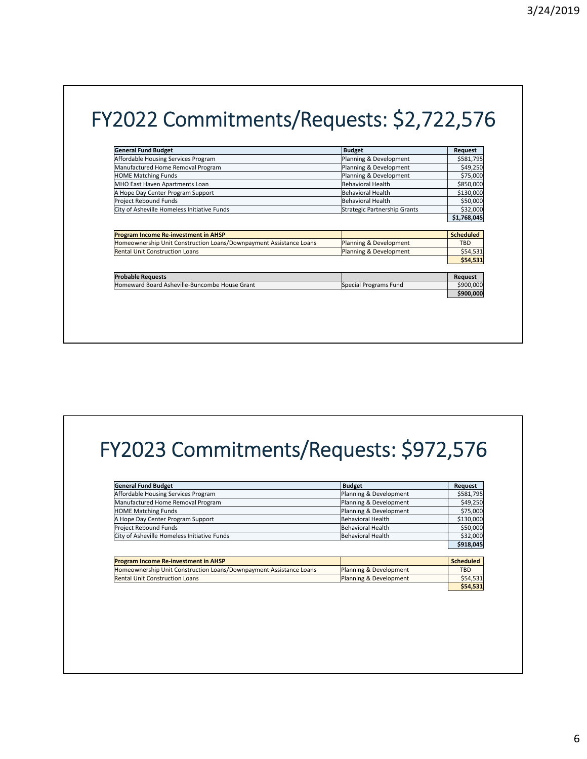## FY2022 Commitments/Requests: \$2,722,576

| <b>General Fund Budget</b>                                         | <b>Budget</b>                | Request                   |
|--------------------------------------------------------------------|------------------------------|---------------------------|
| Affordable Housing Services Program                                | Planning & Development       | \$581,795                 |
| Manufactured Home Removal Program                                  | Planning & Development       | \$49,250                  |
| <b>HOME Matching Funds</b>                                         | Planning & Development       | \$75,000                  |
| MHO East Haven Apartments Loan                                     | <b>Behavioral Health</b>     | \$850,000                 |
| A Hope Day Center Program Support                                  | Behavioral Health            | \$130,000                 |
| Project Rebound Funds                                              | Behavioral Health            | \$50,000                  |
| City of Asheville Homeless Initiative Funds                        | Strategic Partnership Grants | \$32,000                  |
|                                                                    |                              |                           |
|                                                                    |                              |                           |
| <b>Program Income Re-investment in AHSP</b>                        |                              | <b>Scheduled</b>          |
| Homeownership Unit Construction Loans/Downpayment Assistance Loans | Planning & Development       | \$1,768,045<br><b>TBD</b> |
| <b>Rental Unit Construction Loans</b>                              | Planning & Development       | \$54,531                  |
|                                                                    |                              | \$54,531                  |
| <b>Probable Requests</b>                                           |                              | Request                   |
| Homeward Board Asheville-Buncombe House Grant                      | Special Programs Fund        | \$900,000                 |

## FY2023 Commitments/Requests: \$972,576

| <b>General Fund Budget</b>                  | <b>Budget</b>          | Request   |
|---------------------------------------------|------------------------|-----------|
| Affordable Housing Services Program         | Planning & Development | \$581,795 |
| Manufactured Home Removal Program           | Planning & Development | \$49,250  |
| <b>HOME Matching Funds</b>                  | Planning & Development | \$75,000  |
| A Hope Day Center Program Support           | Behavioral Health      | \$130,000 |
| Project Rebound Funds                       | Behavioral Health      | \$50,000  |
| City of Asheville Homeless Initiative Funds | Behavioral Health      | \$32,000  |
|                                             |                        | \$918,045 |
|                                             |                        |           |
|                                             |                        |           |

| <b>Program Income Re-investment in AHSP</b>                        |                        | <b>Scheduled</b> |
|--------------------------------------------------------------------|------------------------|------------------|
| Homeownership Unit Construction Loans/Downpayment Assistance Loans | Planning & Development | TBD              |
| <b>Rental Unit Construction Loans</b>                              | Planning & Development | \$54.531         |
|                                                                    |                        | \$54,531         |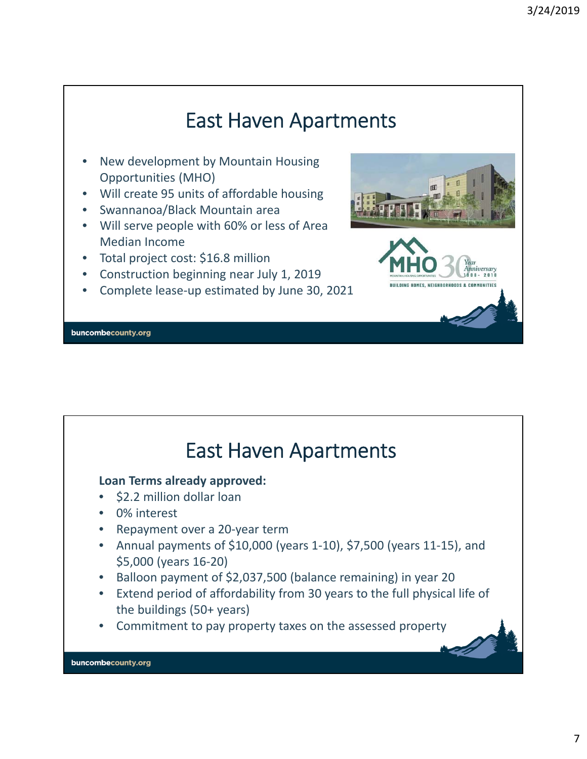niversary

BUILDING HOMES, NEIGHBORHOODS & COMMUNITIES

### East Haven Apartments

- New development by Mountain Housing Opportunities (MHO)
- Will create 95 units of affordable housing
- Swannanoa/Black Mountain area
- Will serve people with 60% or less of Area Median Income
- Total project cost: \$16.8 million
- Construction beginning near July 1, 2019
- Complete lease‐up estimated by June 30, 2021

buncombecounty.org

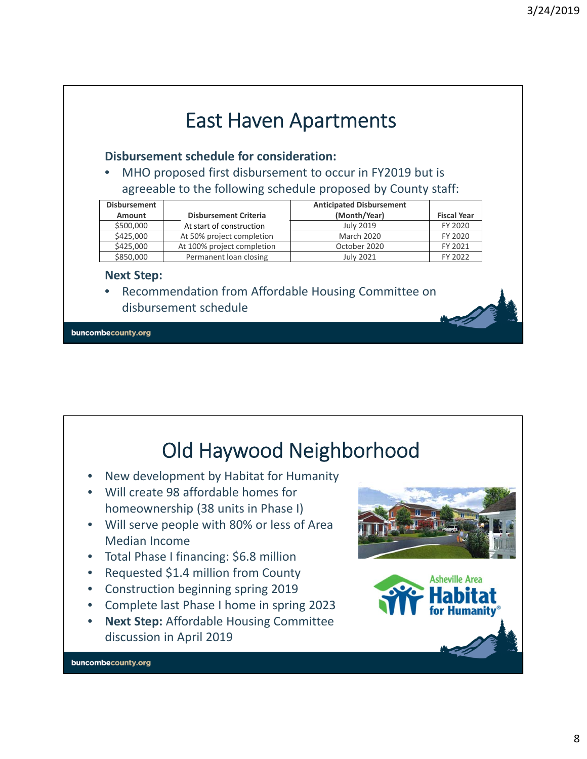### East Haven Apartments **Disbursement schedule for consideration:** • MHO proposed first disbursement to occur in FY2019 but is agreeable to the following schedule proposed by County staff: **Disbursement Anticipated Disbursement Amount Disbursement Criteria (Month/Year) Fiscal Year** \$500,000 | At start of construction | July 2019 | FY 2020 \$425,000 At 50% project completion March 2020 FY 2020 \$425,000 At 100% project completion October 2020 FY 2021 \$850,000 Permanent loan closing July 2021 FY 2022 **Next Step:** • Recommendation from Affordable Housing Committee on disbursement schedule buncombecounty.org

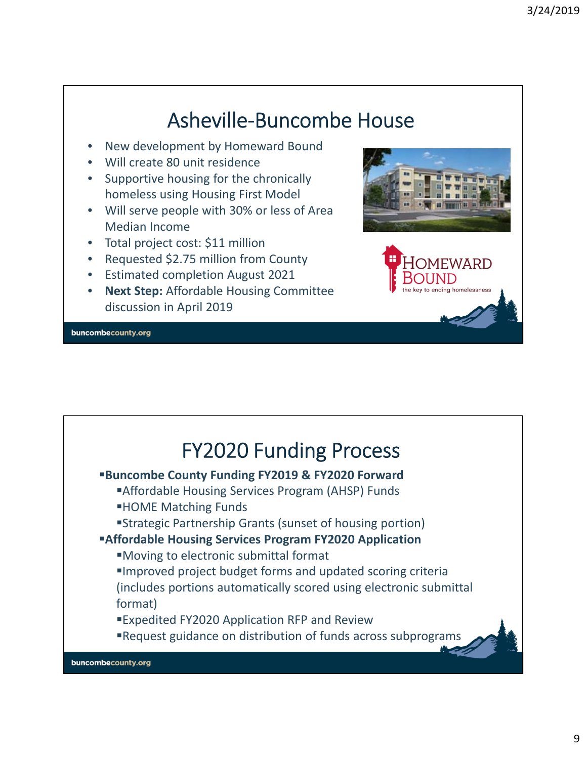### Asheville‐Buncombe House

- New development by Homeward Bound
- Will create 80 unit residence
- Supportive housing for the chronically homeless using Housing First Model
- Will serve people with 30% or less of Area Median Income
- Total project cost: \$11 million
- Requested \$2.75 million from County
- Estimated completion August 2021
- **Next Step:** Affordable Housing Committee discussion in April 2019

buncombecounty.org



### FY2020 Funding Process

#### **Buncombe County Funding FY2019 & FY2020 Forward**

- Affordable Housing Services Program (AHSP) Funds
- HOME Matching Funds
- Strategic Partnership Grants (sunset of housing portion)

#### **Affordable Housing Services Program FY2020 Application**

- Moving to electronic submittal format
- Improved project budget forms and updated scoring criteria
- (includes portions automatically scored using electronic submittal format)
- Expedited FY2020 Application RFP and Review
- Request guidance on distribution of funds across subprograms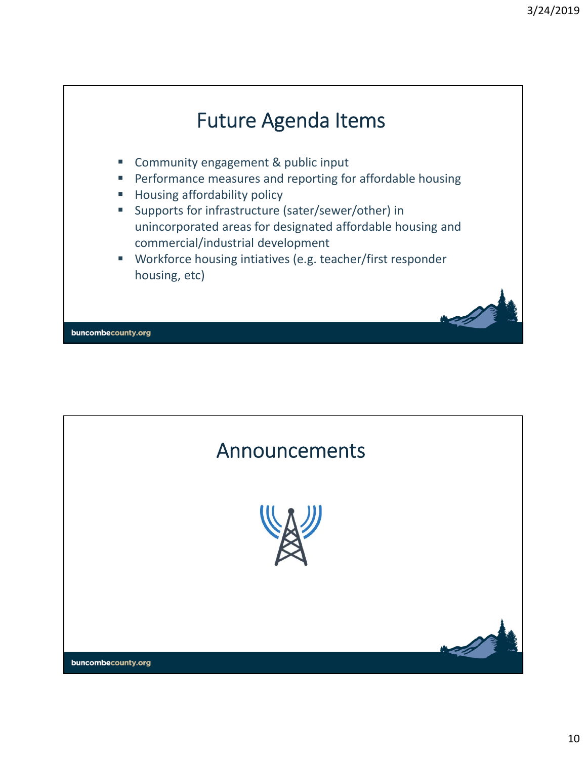